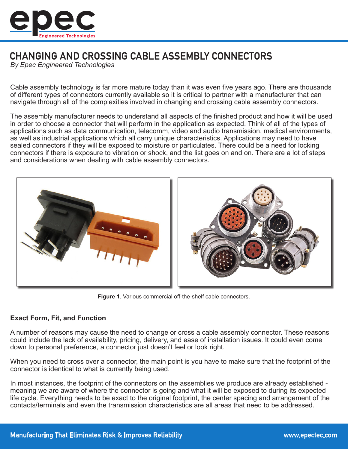

# **CHANGING AND CROSSING CABLE ASSEMBLY CONNECTORS**

*By Epec Engineered Technologies*

Cable assembly technology is far more mature today than it was even five years ago. There are thousands of different types of connectors currently available so it is critical to partner with a manufacturer that can navigate through all of the complexities involved in changing and crossing cable assembly connectors.

The assembly manufacturer needs to understand all aspects of the finished product and how it will be used in order to choose a connector that will perform in the application as expected. Think of all of the types of applications such as data communication, telecomm, video and audio transmission, medical environments, as well as industrial applications which all carry unique characteristics. Applications may need to have sealed connectors if they will be exposed to moisture or particulates. There could be a need for locking connectors if there is exposure to vibration or shock, and the list goes on and on. There are a lot of steps and considerations when dealing with cable assembly connectors.



**Figure 1**. Various commercial off-the-shelf cable connectors.

## **Exact Form, Fit, and Function**

A number of reasons may cause the need to change or cross a cable assembly connector. These reasons could include the lack of availability, pricing, delivery, and ease of installation issues. It could even come down to personal preference, a connector just doesn't feel or look right.

When you need to cross over a connector, the main point is you have to make sure that the footprint of the connector is identical to what is currently being used.

In most instances, the footprint of the connectors on the assemblies we produce are already established meaning we are aware of where the connector is going and what it will be exposed to during its expected life cycle. Everything needs to be exact to the original footprint, the center spacing and arrangement of the contacts/terminals and even the transmission characteristics are all areas that need to be addressed.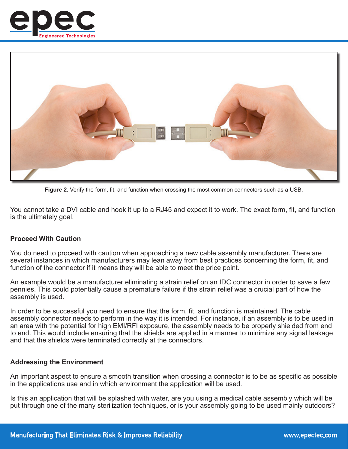



**Figure 2**. Verify the form, fit, and function when crossing the most common connectors such as a USB.

You cannot take a DVI cable and hook it up to a RJ45 and expect it to work. The exact form, fit, and function is the ultimately goal.

#### **Proceed With Caution**

You do need to proceed with caution when approaching a new cable assembly manufacturer. There are several instances in which manufacturers may lean away from best practices concerning the form, fit, and function of the connector if it means they will be able to meet the price point.

An example would be a manufacturer eliminating a strain relief on an IDC connector in order to save a few pennies. This could potentially cause a premature failure if the strain relief was a crucial part of how the assembly is used.

In order to be successful you need to ensure that the form, fit, and function is maintained. The cable assembly connector needs to perform in the way it is intended. For instance, if an assembly is to be used in an area with the potential for high EMI/RFI exposure, the assembly needs to be properly shielded from end to end. This would include ensuring that the shields are applied in a manner to minimize any signal leakage and that the shields were terminated correctly at the connectors.

#### **Addressing the Environment**

An important aspect to ensure a smooth transition when crossing a connector is to be as specific as possible in the applications use and in which environment the application will be used.

Is this an application that will be splashed with water, are you using a medical cable assembly which will be put through one of the many sterilization techniques, or is your assembly going to be used mainly outdoors?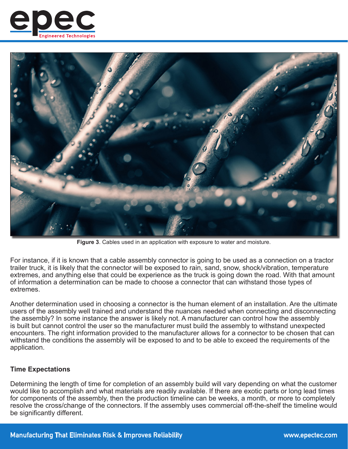



**Figure 3**. Cables used in an application with exposure to water and moisture.

For instance, if it is known that a cable assembly connector is going to be used as a connection on a tractor trailer truck, it is likely that the connector will be exposed to rain, sand, snow, shock/vibration, temperature extremes, and anything else that could be experience as the truck is going down the road. With that amount of information a determination can be made to choose a connector that can withstand those types of extremes.

Another determination used in choosing a connector is the human element of an installation. Are the ultimate users of the assembly well trained and understand the nuances needed when connecting and disconnecting the assembly? In some instance the answer is likely not. A manufacturer can control how the assembly is built but cannot control the user so the manufacturer must build the assembly to withstand unexpected encounters. The right information provided to the manufacturer allows for a connector to be chosen that can withstand the conditions the assembly will be exposed to and to be able to exceed the requirements of the application.

## **Time Expectations**

Determining the length of time for completion of an assembly build will vary depending on what the customer would like to accomplish and what materials are readily available. If there are exotic parts or long lead times for components of the assembly, then the production timeline can be weeks, a month, or more to completely resolve the cross/change of the connectors. If the assembly uses commercial off-the-shelf the timeline would be significantly different.